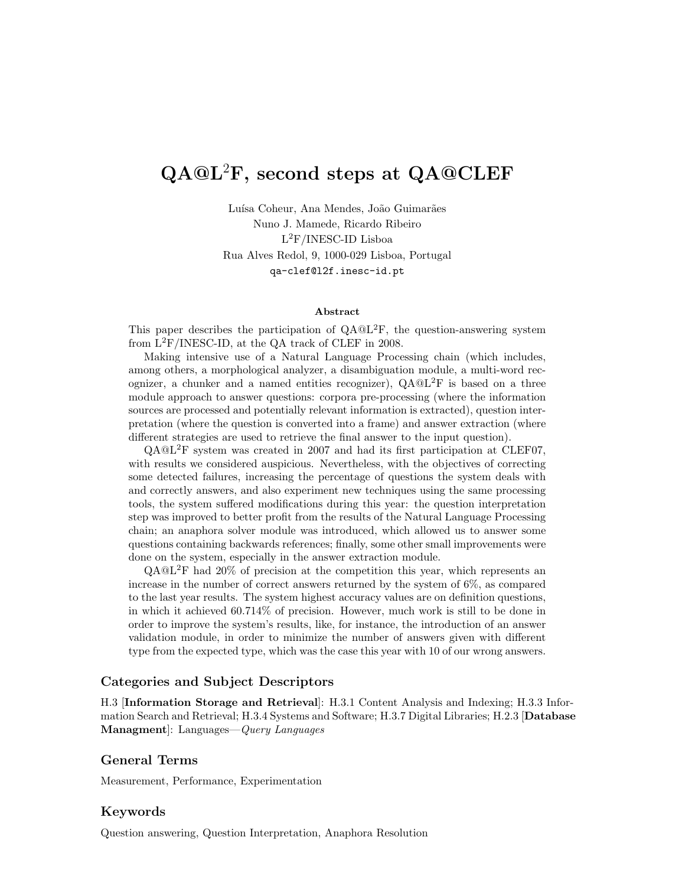# QA@L<sup>2</sup>F, second steps at QA@CLEF

Luísa Coheur, Ana Mendes, João Guimarães Nuno J. Mamede, Ricardo Ribeiro L <sup>2</sup>F/INESC-ID Lisboa Rua Alves Redol, 9, 1000-029 Lisboa, Portugal qa-clef@l2f.inesc-id.pt

#### Abstract

This paper describes the participation of  $QA@L^{2}F$ , the question-answering system from L2F/INESC-ID, at the QA track of CLEF in 2008.

Making intensive use of a Natural Language Processing chain (which includes, among others, a morphological analyzer, a disambiguation module, a multi-word recognizer, a chunker and a named entities recognizer),  $QA@L^2F$  is based on a three module approach to answer questions: corpora pre-processing (where the information sources are processed and potentially relevant information is extracted), question interpretation (where the question is converted into a frame) and answer extraction (where different strategies are used to retrieve the final answer to the input question).

QA@L2F system was created in 2007 and had its first participation at CLEF07, with results we considered auspicious. Nevertheless, with the objectives of correcting some detected failures, increasing the percentage of questions the system deals with and correctly answers, and also experiment new techniques using the same processing tools, the system suffered modifications during this year: the question interpretation step was improved to better profit from the results of the Natural Language Processing chain; an anaphora solver module was introduced, which allowed us to answer some questions containing backwards references; finally, some other small improvements were done on the system, especially in the answer extraction module.

QA@L2F had 20% of precision at the competition this year, which represents an increase in the number of correct answers returned by the system of 6%, as compared to the last year results. The system highest accuracy values are on definition questions, in which it achieved 60.714% of precision. However, much work is still to be done in order to improve the system's results, like, for instance, the introduction of an answer validation module, in order to minimize the number of answers given with different type from the expected type, which was the case this year with 10 of our wrong answers.

### Categories and Subject Descriptors

H.3 [Information Storage and Retrieval]: H.3.1 Content Analysis and Indexing; H.3.3 Information Search and Retrieval; H.3.4 Systems and Software; H.3.7 Digital Libraries; H.2.3 [Database Managment]: Languages—Query Languages

### General Terms

Measurement, Performance, Experimentation

## Keywords

Question answering, Question Interpretation, Anaphora Resolution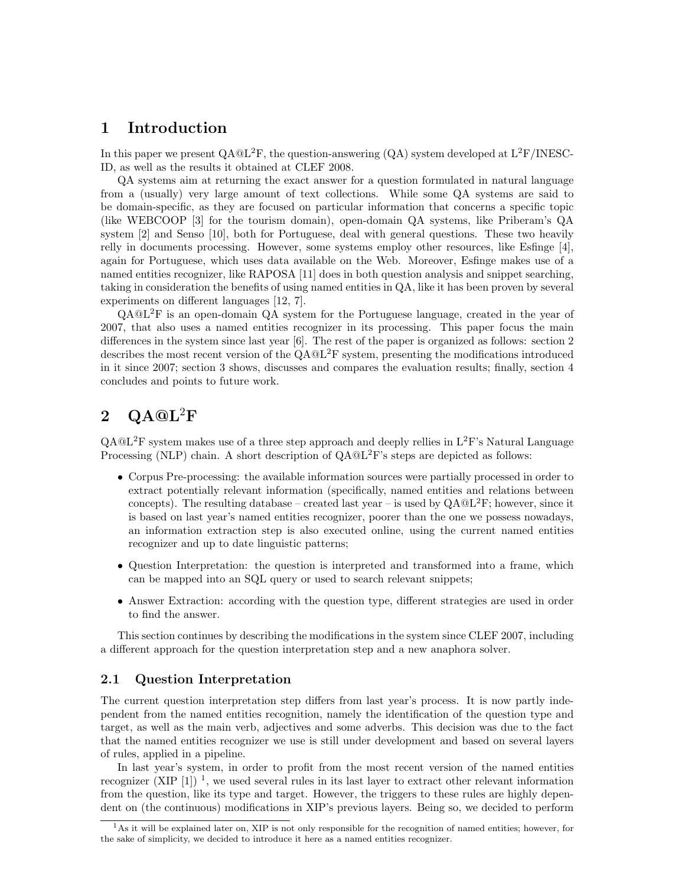# 1 Introduction

In this paper we present  $QA@L^2F$ , the question-answering  $(QA)$  system developed at  $L^2F/INESC$ -ID, as well as the results it obtained at CLEF 2008.

QA systems aim at returning the exact answer for a question formulated in natural language from a (usually) very large amount of text collections. While some QA systems are said to be domain-specific, as they are focused on particular information that concerns a specific topic (like WEBCOOP [3] for the tourism domain), open-domain QA systems, like Priberam's QA system [2] and Senso [10], both for Portuguese, deal with general questions. These two heavily relly in documents processing. However, some systems employ other resources, like Esfinge [4], again for Portuguese, which uses data available on the Web. Moreover, Esfinge makes use of a named entities recognizer, like RAPOSA [11] does in both question analysis and snippet searching, taking in consideration the benefits of using named entities in QA, like it has been proven by several experiments on different languages [12, 7].

 $QA@L<sup>2</sup>F$  is an open-domain  $QA$  system for the Portuguese language, created in the year of 2007, that also uses a named entities recognizer in its processing. This paper focus the main differences in the system since last year [6]. The rest of the paper is organized as follows: section 2 describes the most recent version of the  $QA@L^2F$  system, presenting the modifications introduced in it since 2007; section 3 shows, discusses and compares the evaluation results; finally, section 4 concludes and points to future work.

# $2 \Omega QA@L^2F$

 $QA@L<sup>2</sup>F$  system makes use of a three step approach and deeply rellies in  $L<sup>2</sup>F$ 's Natural Language Processing (NLP) chain. A short description of  $QA@L<sup>2</sup>F$ 's steps are depicted as follows:

- Corpus Pre-processing: the available information sources were partially processed in order to extract potentially relevant information (specifically, named entities and relations between concepts). The resulting database – created last year – is used by  $QA@L^{2}F$ ; however, since it is based on last year's named entities recognizer, poorer than the one we possess nowadays, an information extraction step is also executed online, using the current named entities recognizer and up to date linguistic patterns;
- Question Interpretation: the question is interpreted and transformed into a frame, which can be mapped into an SQL query or used to search relevant snippets;
- Answer Extraction: according with the question type, different strategies are used in order to find the answer.

This section continues by describing the modifications in the system since CLEF 2007, including a different approach for the question interpretation step and a new anaphora solver.

## 2.1 Question Interpretation

The current question interpretation step differs from last year's process. It is now partly independent from the named entities recognition, namely the identification of the question type and target, as well as the main verb, adjectives and some adverbs. This decision was due to the fact that the named entities recognizer we use is still under development and based on several layers of rules, applied in a pipeline.

In last year's system, in order to profit from the most recent version of the named entities recognizer (XIP  $[1]$ )<sup>1</sup>, we used several rules in its last layer to extract other relevant information from the question, like its type and target. However, the triggers to these rules are highly dependent on (the continuous) modifications in XIP's previous layers. Being so, we decided to perform

<sup>&</sup>lt;sup>1</sup>As it will be explained later on, XIP is not only responsible for the recognition of named entities; however, for the sake of simplicity, we decided to introduce it here as a named entities recognizer.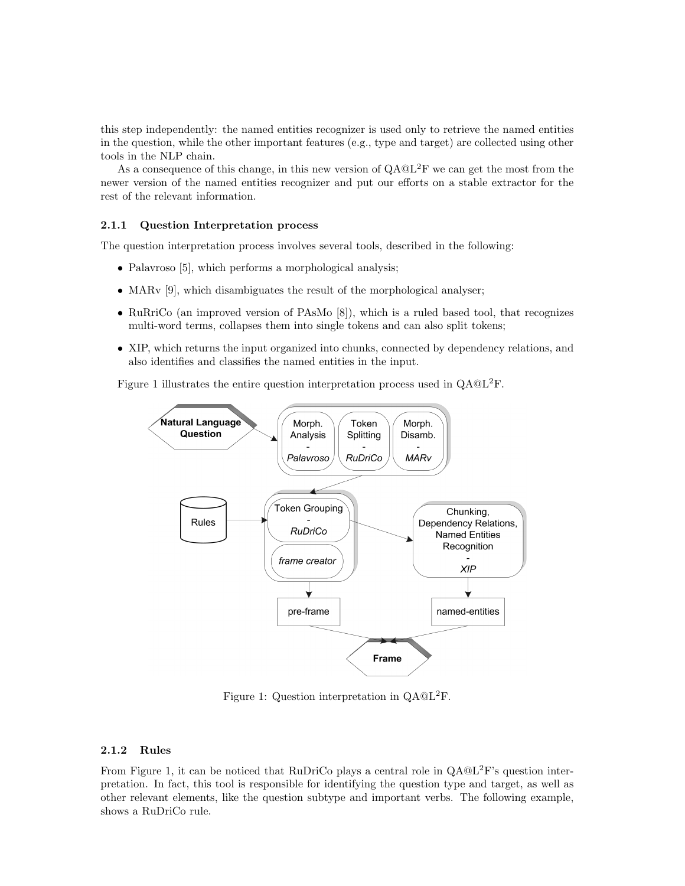this step independently: the named entities recognizer is used only to retrieve the named entities in the question, while the other important features (e.g., type and target) are collected using other tools in the NLP chain.

As a consequence of this change, in this new version of  $QA@L<sup>2</sup>F$  we can get the most from the newer version of the named entities recognizer and put our efforts on a stable extractor for the rest of the relevant information.

#### 2.1.1 Question Interpretation process

The question interpretation process involves several tools, described in the following:

- Palavroso [5], which performs a morphological analysis;
- MARv [9], which disambiguates the result of the morphological analyser;
- RuRriCo (an improved version of PAsMo [8]), which is a ruled based tool, that recognizes multi-word terms, collapses them into single tokens and can also split tokens;
- XIP, which returns the input organized into chunks, connected by dependency relations, and also identifies and classifies the named entities in the input.

Figure 1 illustrates the entire question interpretation process used in QA@L2F.



Figure 1: Question interpretation in  $QA@L<sup>2</sup>F$ .

## 2.1.2 Rules

From Figure 1, it can be noticed that RuDriCo plays a central role in  $O \text{A} @ \text{L}^2 \text{F}'s$  question interpretation. In fact, this tool is responsible for identifying the question type and target, as well as other relevant elements, like the question subtype and important verbs. The following example, shows a RuDriCo rule.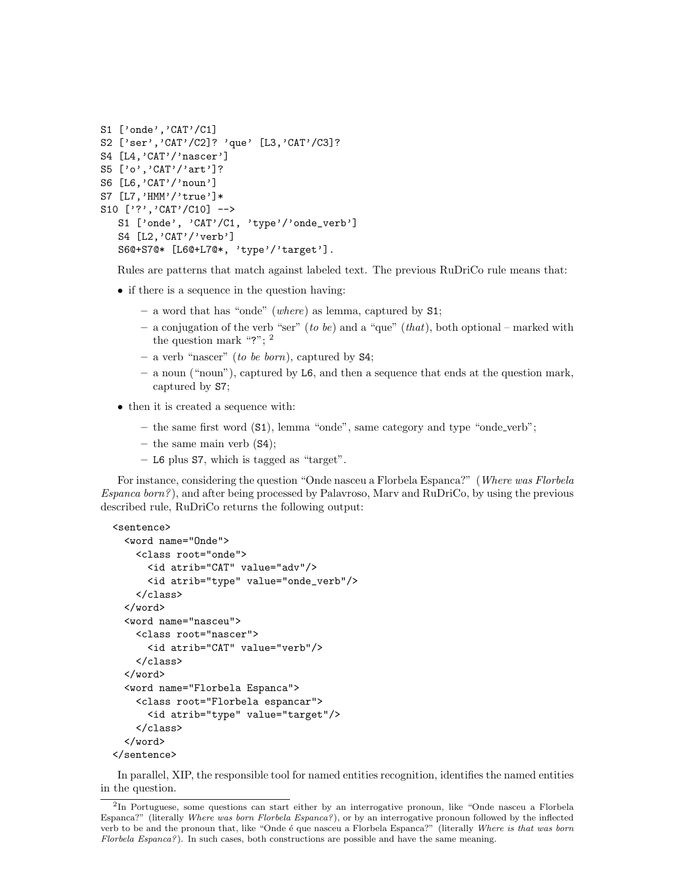```
S1 ['onde','CAT'/C1]
S2 ['ser','CAT'/C2]? 'que' [L3,'CAT'/C3]?
S4 [L4,'CAT'/'nascer']
S5 ['o','CAT'/'art']?
S6 [L6,'CAT'/'noun']
S7 [L7,'HMM'/'true']*
S10 ['?', 'CAT'/C10] -->
  S1 ['onde', 'CAT'/C1, 'type'/'onde_verb']
   S4 [L2,'CAT'/'verb']
   S6@+S7@* [L6@+L7@*, 'type'/'target'].
```
Rules are patterns that match against labeled text. The previous RuDriCo rule means that:

- if there is a sequence in the question having:
	- a word that has "onde" (where) as lemma, captured by S1;
	- a conjugation of the verb "ser" (to be) and a "que" (that), both optional marked with the question mark "?"; <sup>2</sup>
	- a verb "nascer" (to be born), captured by  $S4$ ;
	- a noun ("noun"), captured by L6, and then a sequence that ends at the question mark, captured by S7;
- then it is created a sequence with:
	- the same first word  $(S1)$ , lemma "onde", same category and type "onde<sub>-verb</sub>";
	- the same main verb (S4);
	- L6 plus S7, which is tagged as "target".

For instance, considering the question "Onde nasceu a Florbela Espanca?" (Where was Florbela Espanca born?), and after being processed by Palavroso, Marv and RuDriCo, by using the previous described rule, RuDriCo returns the following output:

```
<sentence>
  <word name="Onde">
    <class root="onde">
      <id atrib="CAT" value="adv"/>
      <id atrib="type" value="onde_verb"/>
    </class>
  </word>
  <word name="nasceu">
    <class root="nascer">
      <id atrib="CAT" value="verb"/>
    </class>
  </word>
  <word name="Florbela Espanca">
    <class root="Florbela espancar">
      <id atrib="type" value="target"/>
    </class>
  </word>
</sentence>
```
In parallel, XIP, the responsible tool for named entities recognition, identifies the named entities in the question.

<sup>&</sup>lt;sup>2</sup>In Portuguese, some questions can start either by an interrogative pronoun, like "Onde nasceu a Florbela Espanca?" (literally Where was born Florbela Espanca?), or by an interrogative pronoun followed by the inflected verb to be and the pronoun that, like "Onde é que nasceu a Florbela Espanca?" (literally Where is that was born Florbela Espanca?). In such cases, both constructions are possible and have the same meaning.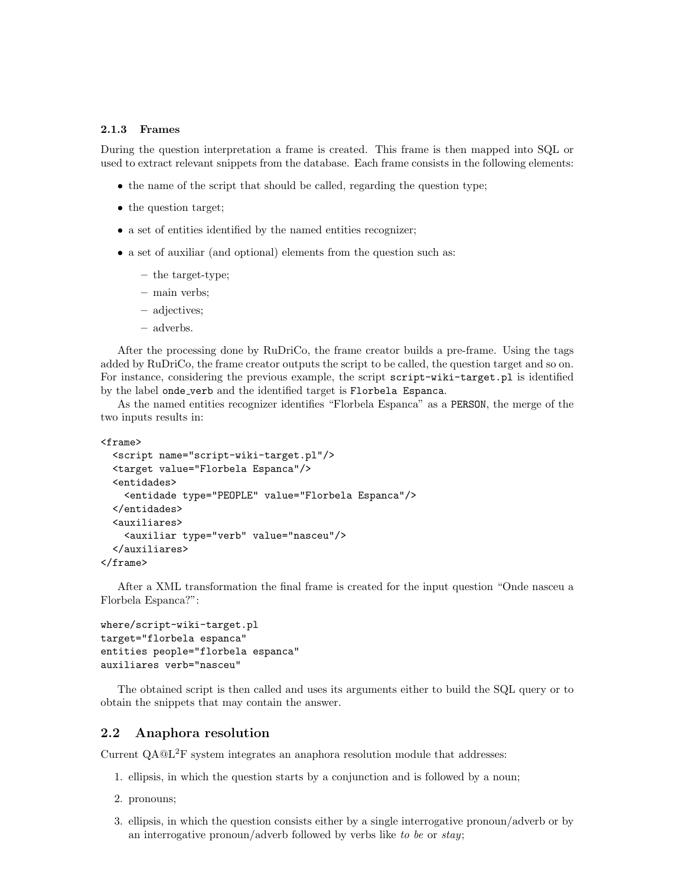#### 2.1.3 Frames

During the question interpretation a frame is created. This frame is then mapped into SQL or used to extract relevant snippets from the database. Each frame consists in the following elements:

- the name of the script that should be called, regarding the question type;
- the question target;
- a set of entities identified by the named entities recognizer;
- a set of auxiliar (and optional) elements from the question such as:
	- the target-type;
	- main verbs;
	- adjectives;
	- adverbs.

After the processing done by RuDriCo, the frame creator builds a pre-frame. Using the tags added by RuDriCo, the frame creator outputs the script to be called, the question target and so on. For instance, considering the previous example, the script script-wiki-target.pl is identified by the label onde verb and the identified target is Florbela Espanca.

As the named entities recognizer identifies "Florbela Espanca" as a PERSON, the merge of the two inputs results in:

```
<frame>
```

```
<script name="script-wiki-target.pl"/>
 <target value="Florbela Espanca"/>
 <entidades>
   <entidade type="PEOPLE" value="Florbela Espanca"/>
 </entidades>
  <auxiliares>
   <auxiliar type="verb" value="nasceu"/>
  </auxiliares>
</frame>
```
After a XML transformation the final frame is created for the input question "Onde nasceu a Florbela Espanca?":

```
where/script-wiki-target.pl
target="florbela espanca"
entities people="florbela espanca"
auxiliares verb="nasceu"
```
The obtained script is then called and uses its arguments either to build the SQL query or to obtain the snippets that may contain the answer.

## 2.2 Anaphora resolution

Current QA@L<sup>2</sup>F system integrates an anaphora resolution module that addresses:

- 1. ellipsis, in which the question starts by a conjunction and is followed by a noun;
- 2. pronouns;
- 3. ellipsis, in which the question consists either by a single interrogative pronoun/adverb or by an interrogative pronoun/adverb followed by verbs like to be or  $stay;$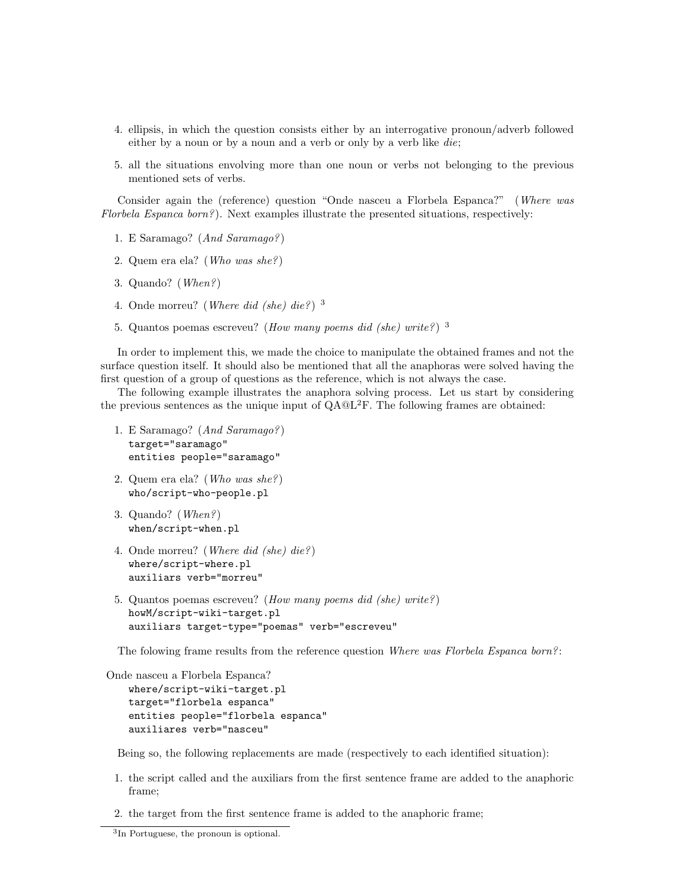- 4. ellipsis, in which the question consists either by an interrogative pronoun/adverb followed either by a noun or by a noun and a verb or only by a verb like die;
- 5. all the situations envolving more than one noun or verbs not belonging to the previous mentioned sets of verbs.

Consider again the (reference) question "Onde nasceu a Florbela Espanca?" (Where was Florbela Espanca born?). Next examples illustrate the presented situations, respectively:

- 1. E Saramago? (And Saramago?)
- 2. Quem era ela? (Who was she?)
- 3. Quando? (When?)
- 4. Onde morreu? (*Where did (she) die?*)<sup>3</sup>
- 5. Quantos poemas escreveu? (How many poems did (she) write?)  $3$

In order to implement this, we made the choice to manipulate the obtained frames and not the surface question itself. It should also be mentioned that all the anaphoras were solved having the first question of a group of questions as the reference, which is not always the case.

The following example illustrates the anaphora solving process. Let us start by considering the previous sentences as the unique input of  $QA@L^{2}F$ . The following frames are obtained:

- 1. E Saramago? (And Saramago?) target="saramago" entities people="saramago"
- 2. Quem era ela? (Who was she?) who/script-who-people.pl
- 3. Quando? (When?) when/script-when.pl
- 4. Onde morreu? (Where did (she) die?) where/script-where.pl auxiliars verb="morreu"
- 5. Quantos poemas escreveu? (How many poems did (she) write?) howM/script-wiki-target.pl auxiliars target-type="poemas" verb="escreveu"

The folowing frame results from the reference question Where was Florbela Espanca born?:

```
Onde nasceu a Florbela Espanca?
   where/script-wiki-target.pl
   target="florbela espanca"
   entities people="florbela espanca"
   auxiliares verb="nasceu"
```
Being so, the following replacements are made (respectively to each identified situation):

- 1. the script called and the auxiliars from the first sentence frame are added to the anaphoric frame;
- 2. the target from the first sentence frame is added to the anaphoric frame;

<sup>3</sup> In Portuguese, the pronoun is optional.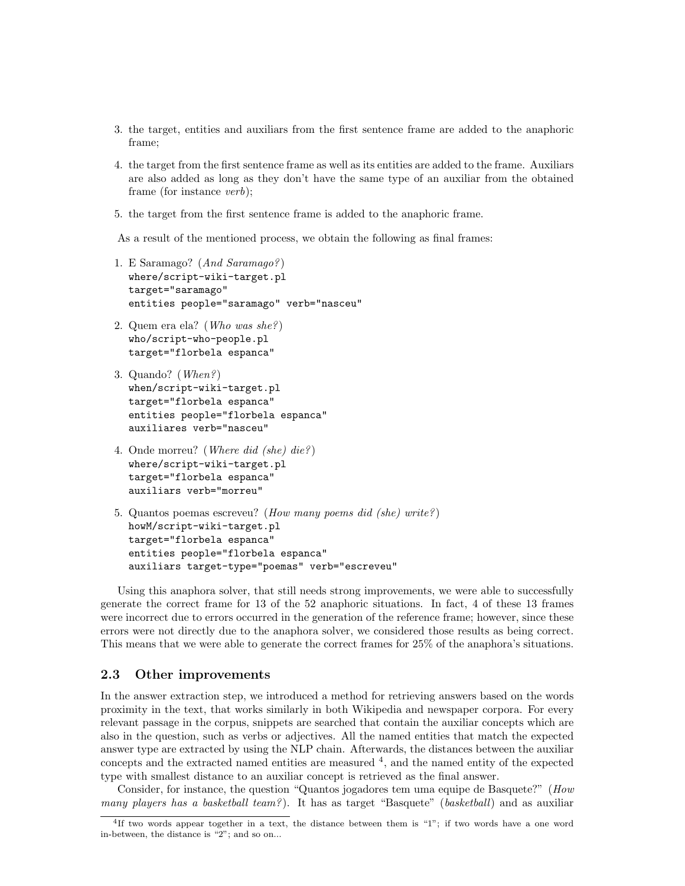- 3. the target, entities and auxiliars from the first sentence frame are added to the anaphoric frame;
- 4. the target from the first sentence frame as well as its entities are added to the frame. Auxiliars are also added as long as they don't have the same type of an auxiliar from the obtained frame (for instance verb);
- 5. the target from the first sentence frame is added to the anaphoric frame.

As a result of the mentioned process, we obtain the following as final frames:

- 1. E Saramago? (And Saramago?) where/script-wiki-target.pl target="saramago" entities people="saramago" verb="nasceu"
- 2. Quem era ela? (Who was she?) who/script-who-people.pl target="florbela espanca"
- 3. Quando? (When?) when/script-wiki-target.pl target="florbela espanca" entities people="florbela espanca" auxiliares verb="nasceu"
- 4. Onde morreu? (Where did (she) die?) where/script-wiki-target.pl target="florbela espanca" auxiliars verb="morreu"
- 5. Quantos poemas escreveu? (How many poems did (she) write?) howM/script-wiki-target.pl target="florbela espanca" entities people="florbela espanca" auxiliars target-type="poemas" verb="escreveu"

Using this anaphora solver, that still needs strong improvements, we were able to successfully generate the correct frame for 13 of the 52 anaphoric situations. In fact, 4 of these 13 frames were incorrect due to errors occurred in the generation of the reference frame; however, since these errors were not directly due to the anaphora solver, we considered those results as being correct. This means that we were able to generate the correct frames for 25% of the anaphora's situations.

## 2.3 Other improvements

In the answer extraction step, we introduced a method for retrieving answers based on the words proximity in the text, that works similarly in both Wikipedia and newspaper corpora. For every relevant passage in the corpus, snippets are searched that contain the auxiliar concepts which are also in the question, such as verbs or adjectives. All the named entities that match the expected answer type are extracted by using the NLP chain. Afterwards, the distances between the auxiliar concepts and the extracted named entities are measured  $4$ , and the named entity of the expected type with smallest distance to an auxiliar concept is retrieved as the final answer.

Consider, for instance, the question "Quantos jogadores tem uma equipe de Basquete?" (How *many players has a basketball team?*). It has as target "Basquete" (*basketball*) and as auxiliar

<sup>4</sup> If two words appear together in a text, the distance between them is "1"; if two words have a one word in-between, the distance is "2"; and so on...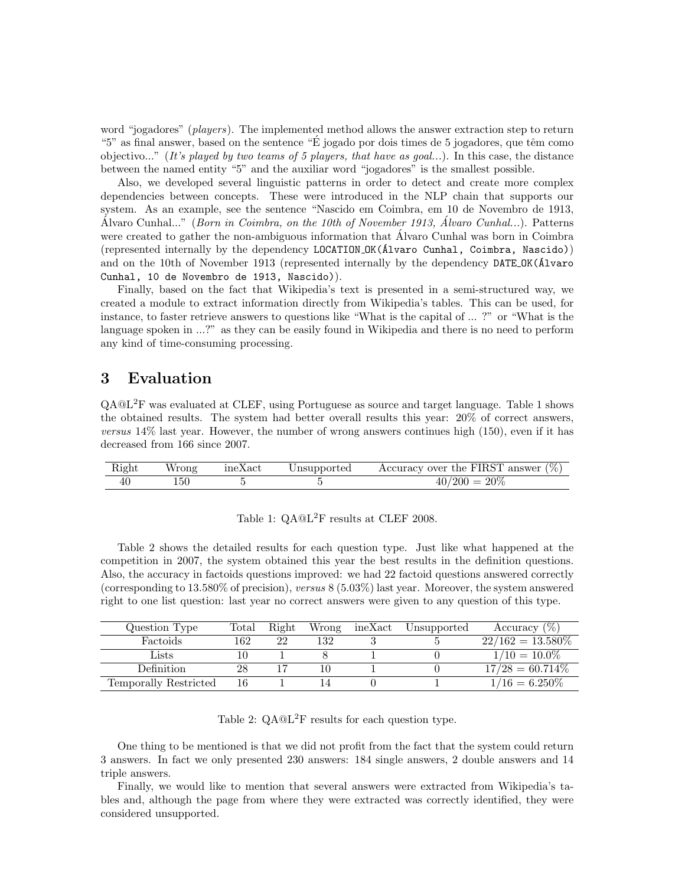word "jogadores" (players). The implemented method allows the answer extraction step to return "5" as final answer, based on the sentence "É jogado por dois times de 5 jogadores, que têm como objectivo..." (It's played by two teams of 5 players, that have as goal...). In this case, the distance between the named entity "5" and the auxiliar word "jogadores" is the smallest possible.

Also, we developed several linguistic patterns in order to detect and create more complex dependencies between concepts. These were introduced in the NLP chain that supports our system. As an example, see the sentence "Nascido em Coimbra, em 10 de Novembro de 1913, Alvaro Cunhal..." (*Born in Coimbra, on the 10th of November 1913, Alvaro Cunhal...*). Patterns were created to gather the non-ambiguous information that Alvaro Cunhal was born in Coimbra (represented internally by the dependency LOCATION OK(´Alvaro Cunhal, Coimbra, Nascido)) and on the 10th of November 1913 (represented internally by the dependency DATE OK( $\acute{A}$ lvaro Cunhal, 10 de Novembro de 1913, Nascido)).

Finally, based on the fact that Wikipedia's text is presented in a semi-structured way, we created a module to extract information directly from Wikipedia's tables. This can be used, for instance, to faster retrieve answers to questions like "What is the capital of ... ?" or "What is the language spoken in ...?" as they can be easily found in Wikipedia and there is no need to perform any kind of time-consuming processing.

# 3 Evaluation

QA@L2F was evaluated at CLEF, using Portuguese as source and target language. Table 1 shows the obtained results. The system had better overall results this year: 20% of correct answers, versus 14% last year. However, the number of wrong answers continues high (150), even if it has decreased from 166 since 2007.

|     |  | Right Wrong ineXact Unsupported Accuracy over the FIRST answer $(\%)$ |
|-----|--|-----------------------------------------------------------------------|
| 150 |  | $40/200 = 20\%$                                                       |

Table 1:  $QA@L<sup>2</sup>F$  results at CLEF 2008.

Table 2 shows the detailed results for each question type. Just like what happened at the competition in 2007, the system obtained this year the best results in the definition questions. Also, the accuracy in factoids questions improved: we had 22 factoid questions answered correctly (corresponding to 13.580% of precision), versus 8 (5.03%) last year. Moreover, the system answered right to one list question: last year no correct answers were given to any question of this type.

| Question Type         | $_{\rm Total}$ | Right | Wrong | ineXact | Unsupported | Accuracy $(\%)$     |
|-----------------------|----------------|-------|-------|---------|-------------|---------------------|
| Factoids              | 162            | 22    | 132   |         |             | $22/162 = 13.580\%$ |
| Lists                 |                |       |       |         |             | $1/10 = 10.0\%$     |
| Definition            | 28             |       |       |         |             | $17/28 = 60.714\%$  |
| Temporally Restricted | 16             |       |       |         |             | $1/16 = 6.250\%$    |

Table 2:  $QA@L^2F$  results for each question type.

One thing to be mentioned is that we did not profit from the fact that the system could return 3 answers. In fact we only presented 230 answers: 184 single answers, 2 double answers and 14 triple answers.

Finally, we would like to mention that several answers were extracted from Wikipedia's tables and, although the page from where they were extracted was correctly identified, they were considered unsupported.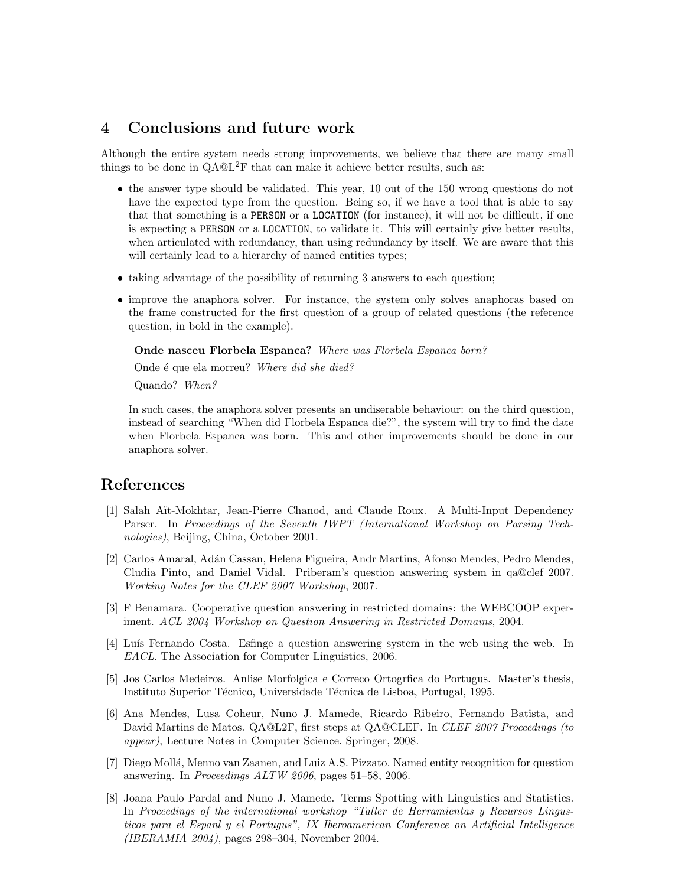# 4 Conclusions and future work

Although the entire system needs strong improvements, we believe that there are many small things to be done in  $QA@L^2F$  that can make it achieve better results, such as:

- the answer type should be validated. This year, 10 out of the 150 wrong questions do not have the expected type from the question. Being so, if we have a tool that is able to say that that something is a PERSON or a LOCATION (for instance), it will not be difficult, if one is expecting a PERSON or a LOCATION, to validate it. This will certainly give better results, when articulated with redundancy, than using redundancy by itself. We are aware that this will certainly lead to a hierarchy of named entities types;
- taking advantage of the possibility of returning 3 answers to each question;
- improve the anaphora solver. For instance, the system only solves anaphoras based on the frame constructed for the first question of a group of related questions (the reference question, in bold in the example).

Onde nasceu Florbela Espanca? Where was Florbela Espanca born?

Onde é que ela morreu? Where did she died?

Quando? When?

In such cases, the anaphora solver presents an undiserable behaviour: on the third question, instead of searching "When did Florbela Espanca die?", the system will try to find the date when Florbela Espanca was born. This and other improvements should be done in our anaphora solver.

# References

- [1] Salah Aït-Mokhtar, Jean-Pierre Chanod, and Claude Roux. A Multi-Input Dependency Parser. In Proceedings of the Seventh IWPT (International Workshop on Parsing Technologies), Beijing, China, October 2001.
- [2] Carlos Amaral, Ad´an Cassan, Helena Figueira, Andr Martins, Afonso Mendes, Pedro Mendes, Cludia Pinto, and Daniel Vidal. Priberam's question answering system in qa@clef 2007. Working Notes for the CLEF 2007 Workshop, 2007.
- [3] F Benamara. Cooperative question answering in restricted domains: the WEBCOOP experiment. ACL 2004 Workshop on Question Answering in Restricted Domains, 2004.
- [4] Luís Fernando Costa. Esfinge a question answering system in the web using the web. In EACL. The Association for Computer Linguistics, 2006.
- [5] Jos Carlos Medeiros. Anlise Morfolgica e Correco Ortogrfica do Portugus. Master's thesis, Instituto Superior Técnico, Universidade Técnica de Lisboa, Portugal, 1995.
- [6] Ana Mendes, Lusa Coheur, Nuno J. Mamede, Ricardo Ribeiro, Fernando Batista, and David Martins de Matos. QA@L2F, first steps at QA@CLEF. In *CLEF 2007 Proceedings (to* appear), Lecture Notes in Computer Science. Springer, 2008.
- [7] Diego Mollá, Menno van Zaanen, and Luiz A.S. Pizzato. Named entity recognition for question answering. In Proceedings ALTW 2006, pages 51–58, 2006.
- [8] Joana Paulo Pardal and Nuno J. Mamede. Terms Spotting with Linguistics and Statistics. In Proceedings of the international workshop "Taller de Herramientas y Recursos Lingusticos para el Espanl y el Portugus", IX Iberoamerican Conference on Artificial Intelligence (IBERAMIA 2004), pages 298–304, November 2004.